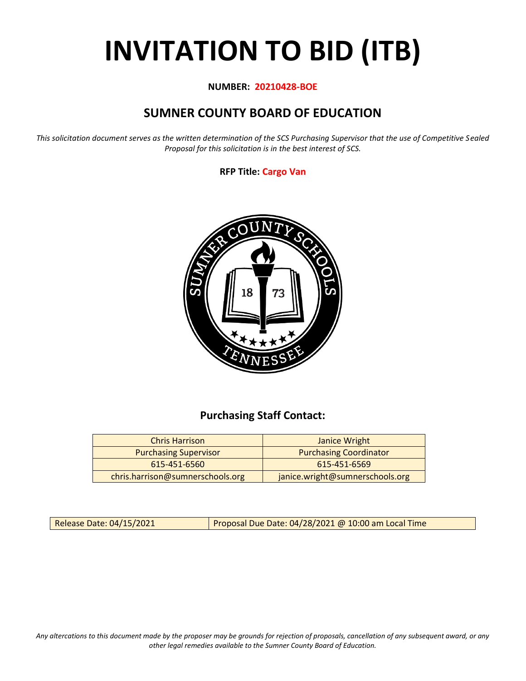# **INVITATION TO BID (ITB)**

#### **NUMBER: 20210428-BOE**

# **SUMNER COUNTY BOARD OF EDUCATION**

*This solicitation document serves as the written determination of the SCS Purchasing Supervisor that the use of Competitive Sealed Proposal for this solicitation is in the best interest of SCS.*

#### **RFP Title: Cargo Van**



## **Purchasing Staff Contact:**

| <b>Chris Harrison</b>            | Janice Wright                   |
|----------------------------------|---------------------------------|
| <b>Purchasing Supervisor</b>     | <b>Purchasing Coordinator</b>   |
| 615-451-6560                     | 615-451-6569                    |
| chris.harrison@sumnerschools.org | janice.wright@sumnerschools.org |

Release Date: 04/15/2021 Proposal Due Date: 04/28/2021 @ 10:00 am Local Time

*Any altercations to this document made by the proposer may be grounds for rejection of proposals, cancellation of any subsequent award, or any other legal remedies available to the Sumner County Board of Education.*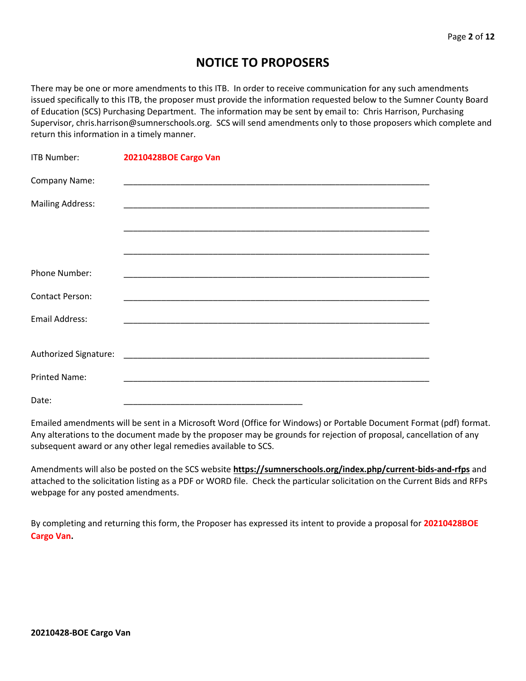## **NOTICE TO PROPOSERS**

There may be one or more amendments to this ITB. In order to receive communication for any such amendments issued specifically to this ITB, the proposer must provide the information requested below to the Sumner County Board of Education (SCS) Purchasing Department. The information may be sent by email to: Chris Harrison, Purchasing Supervisor, chris.harrison@sumnerschools.org. SCS will send amendments only to those proposers which complete and return this information in a timely manner.

| <b>ITB Number:</b>      | 20210428BOE Cargo Van |
|-------------------------|-----------------------|
| Company Name:           |                       |
| <b>Mailing Address:</b> |                       |
|                         |                       |
|                         |                       |
| Phone Number:           |                       |
| <b>Contact Person:</b>  |                       |
| <b>Email Address:</b>   |                       |
|                         |                       |
| Authorized Signature:   |                       |
| <b>Printed Name:</b>    |                       |
| Date:                   |                       |

Emailed amendments will be sent in a Microsoft Word (Office for Windows) or Portable Document Format (pdf) format. Any alterations to the document made by the proposer may be grounds for rejection of proposal, cancellation of any subsequent award or any other legal remedies available to SCS.

Amendments will also be posted on the SCS website **https://sumnerschools.org/index.php/current-bids-and-rfps** and attached to the solicitation listing as a PDF or WORD file. Check the particular solicitation on the Current Bids and RFPs webpage for any posted amendments.

By completing and returning this form, the Proposer has expressed its intent to provide a proposal for **20210428BOE Cargo Van.**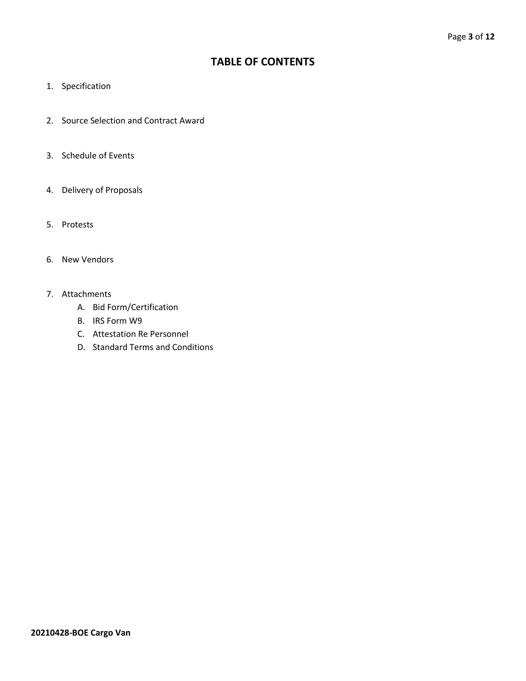## **TABLE OF CONTENTS**

- 1. Specification
- 2. Source Selection and Contract Award
- 3. Schedule of Events
- 4. Delivery of Proposals
- 5. Protests
- 6. New Vendors
- 7. Attachments
	- A. Bid Form/Certification
	- B. IRS Form W9
	- C. Attestation Re Personnel
	- D. Standard Terms and Conditions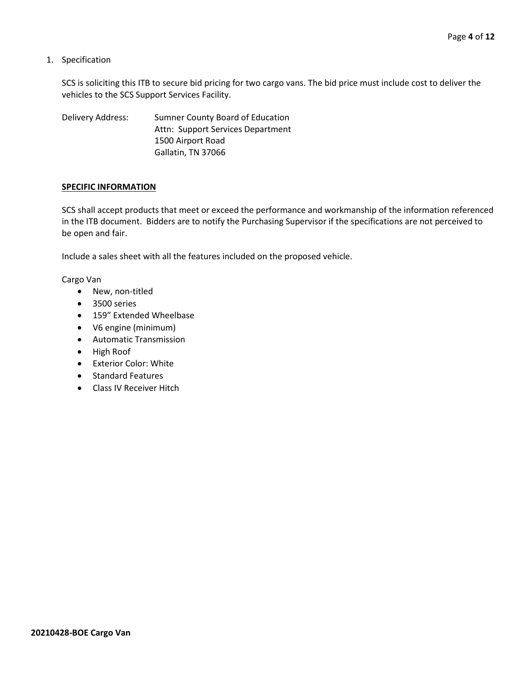1. Specification

SCS is soliciting this ITB to secure bid pricing for two cargo vans. The bid price must include cost to deliver the vehicles to the SCS Support Services Facility.

Delivery Address: Sumner County Board of Education Attn: Support Services Department 1500 Airport Road Gallatin, TN 37066

#### **SPECIFIC INFORMATION**

SCS shall accept products that meet or exceed the performance and workmanship of the information referenced in the ITB document. Bidders are to notify the Purchasing Supervisor if the specifications are not perceived to be open and fair.

Include a sales sheet with all the features included on the proposed vehicle.

Cargo Van

- New, non-titled
- 3500 series
- 159" Extended Wheelbase
- V6 engine (minimum)
- Automatic Transmission
- High Roof
- Exterior Color: White
- Standard Features
- Class IV Receiver Hitch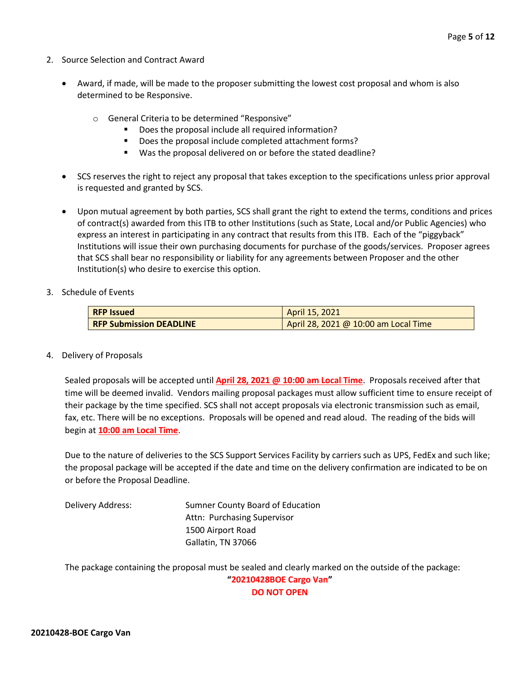- 2. Source Selection and Contract Award
	- Award, if made, will be made to the proposer submitting the lowest cost proposal and whom is also determined to be Responsive.
		- o General Criteria to be determined "Responsive"
			- Does the proposal include all required information?
			- Does the proposal include completed attachment forms?
			- Was the proposal delivered on or before the stated deadline?
	- SCS reserves the right to reject any proposal that takes exception to the specifications unless prior approval is requested and granted by SCS.
	- Upon mutual agreement by both parties, SCS shall grant the right to extend the terms, conditions and prices of contract(s) awarded from this ITB to other Institutions (such as State, Local and/or Public Agencies) who express an interest in participating in any contract that results from this ITB. Each of the "piggyback" Institutions will issue their own purchasing documents for purchase of the goods/services. Proposer agrees that SCS shall bear no responsibility or liability for any agreements between Proposer and the other Institution(s) who desire to exercise this option.
- 3. Schedule of Events

| <b>RFP Issued</b>              | April 15, 2021                       |  |  |  |  |  |  |
|--------------------------------|--------------------------------------|--|--|--|--|--|--|
| <b>RFP Submission DEADLINE</b> | April 28, 2021 @ 10:00 am Local Time |  |  |  |  |  |  |

4. Delivery of Proposals

Sealed proposals will be accepted until **April 28, 2021 @ 10:00 am Local Time**. Proposals received after that time will be deemed invalid. Vendors mailing proposal packages must allow sufficient time to ensure receipt of their package by the time specified. SCS shall not accept proposals via electronic transmission such as email, fax, etc. There will be no exceptions. Proposals will be opened and read aloud. The reading of the bids will begin at **10:00 am Local Time**.

Due to the nature of deliveries to the SCS Support Services Facility by carriers such as UPS, FedEx and such like; the proposal package will be accepted if the date and time on the delivery confirmation are indicated to be on or before the Proposal Deadline.

Delivery Address: Sumner County Board of Education Attn: Purchasing Supervisor 1500 Airport Road Gallatin, TN 37066

The package containing the proposal must be sealed and clearly marked on the outside of the package: **"20210428BOE Cargo Van"**

**DO NOT OPEN**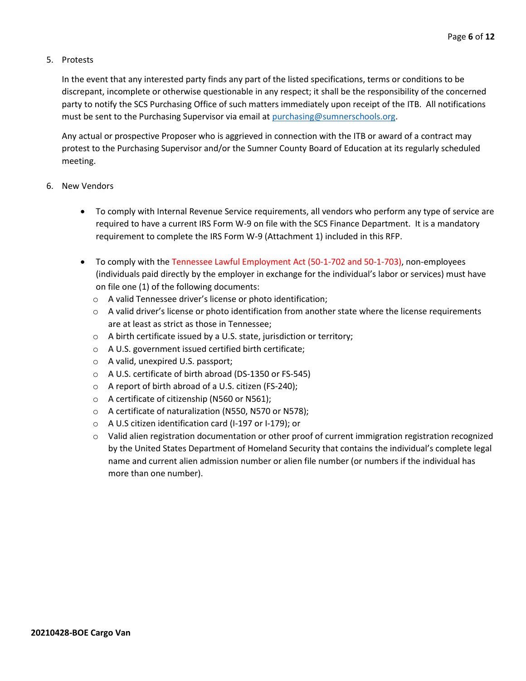#### 5. Protests

In the event that any interested party finds any part of the listed specifications, terms or conditions to be discrepant, incomplete or otherwise questionable in any respect; it shall be the responsibility of the concerned party to notify the SCS Purchasing Office of such matters immediately upon receipt of the ITB. All notifications must be sent to the Purchasing Supervisor via email at [purchasing@sumnerschools.org.](mailto:purchasing@sumnerschools.org)

Any actual or prospective Proposer who is aggrieved in connection with the ITB or award of a contract may protest to the Purchasing Supervisor and/or the Sumner County Board of Education at its regularly scheduled meeting.

#### 6. New Vendors

- To comply with Internal Revenue Service requirements, all vendors who perform any type of service are required to have a current IRS Form W-9 on file with the SCS Finance Department. It is a mandatory requirement to complete the IRS Form W-9 (Attachment 1) included in this RFP.
- To comply with the Tennessee Lawful Employment Act (50-1-702 and 50-1-703), non-employees (individuals paid directly by the employer in exchange for the individual's labor or services) must have on file one (1) of the following documents:
	- o A valid Tennessee driver's license or photo identification;
	- $\circ$  A valid driver's license or photo identification from another state where the license requirements are at least as strict as those in Tennessee;
	- o A birth certificate issued by a U.S. state, jurisdiction or territory;
	- o A U.S. government issued certified birth certificate;
	- o A valid, unexpired U.S. passport;
	- o A U.S. certificate of birth abroad (DS-1350 or FS-545)
	- o A report of birth abroad of a U.S. citizen (FS-240);
	- o A certificate of citizenship (N560 or N561);
	- o A certificate of naturalization (N550, N570 or N578);
	- o A U.S citizen identification card (I-197 or I-179); or
	- $\circ$  Valid alien registration documentation or other proof of current immigration registration recognized by the United States Department of Homeland Security that contains the individual's complete legal name and current alien admission number or alien file number (or numbers if the individual has more than one number).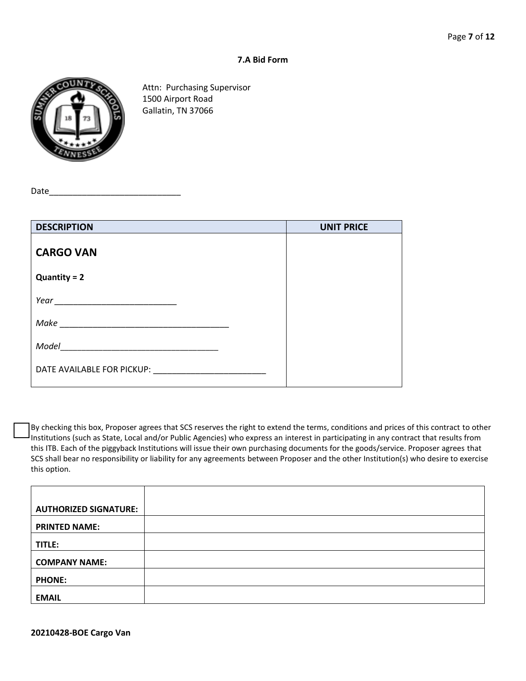#### **7.A Bid Form**



Attn: Purchasing Supervisor 1500 Airport Road Gallatin, TN 37066

Date

| <b>DESCRIPTION</b>         | <b>UNIT PRICE</b> |
|----------------------------|-------------------|
| <b>CARGO VAN</b>           |                   |
| $Quantity = 2$             |                   |
|                            |                   |
| Make                       |                   |
| Model                      |                   |
| DATE AVAILABLE FOR PICKUP: |                   |

By checking this box, Proposer agrees that SCS reserves the right to extend the terms, conditions and prices of this contract to other Institutions (such as State, Local and/or Public Agencies) who express an interest in participating in any contract that results from this ITB. Each of the piggyback Institutions will issue their own purchasing documents for the goods/service. Proposer agrees that SCS shall bear no responsibility or liability for any agreements between Proposer and the other Institution(s) who desire to exercise this option.

| <b>AUTHORIZED SIGNATURE:</b> |  |
|------------------------------|--|
| <b>PRINTED NAME:</b>         |  |
| TITLE:                       |  |
| <b>COMPANY NAME:</b>         |  |
| <b>PHONE:</b>                |  |
| <b>EMAIL</b>                 |  |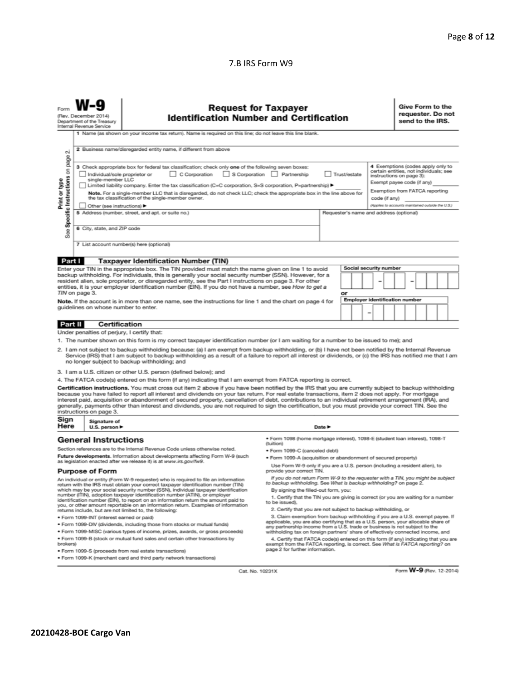#### 7.B IRS Form W9

| σû                                                                                                                                                                                                                                                                                                                                                                                                                                                                                                                                                                                                                                                                                                                                                                                                                                                                                                                                                                                                                                       | Give Form to the<br><b>Request for Taxpayer</b><br>requester. Do not<br>(Rev. December 2014)<br><b>Identification Number and Certification</b><br>send to the IRS.<br>Department of the Treasury<br>Internal Revenue Service<br>1 Name (as shown on your income tax return). Name is required on this line; do not leave this line blank.<br>2 Business name/disregarded entity name, if different from above |                                                                                                                                                                                                                                                                                                                                                                                                                                                                                                                                                                                                                               |                                                                                                 |                                                                                                                                                                     |  |  |  |  |  |  |  |
|------------------------------------------------------------------------------------------------------------------------------------------------------------------------------------------------------------------------------------------------------------------------------------------------------------------------------------------------------------------------------------------------------------------------------------------------------------------------------------------------------------------------------------------------------------------------------------------------------------------------------------------------------------------------------------------------------------------------------------------------------------------------------------------------------------------------------------------------------------------------------------------------------------------------------------------------------------------------------------------------------------------------------------------|---------------------------------------------------------------------------------------------------------------------------------------------------------------------------------------------------------------------------------------------------------------------------------------------------------------------------------------------------------------------------------------------------------------|-------------------------------------------------------------------------------------------------------------------------------------------------------------------------------------------------------------------------------------------------------------------------------------------------------------------------------------------------------------------------------------------------------------------------------------------------------------------------------------------------------------------------------------------------------------------------------------------------------------------------------|-------------------------------------------------------------------------------------------------|---------------------------------------------------------------------------------------------------------------------------------------------------------------------|--|--|--|--|--|--|--|
| Specific Instructions on page<br>4 Exemptions (codes apply only to<br>3 Check appropriate box for federal tax classification; check only one of the following seven boxes:<br>certain entities, not individuals; see<br>C Corporation<br>S Corporation Partnership<br>Individual/sole proprietor or<br>Trust/estate<br>instructions on page 3):<br>Print or type<br>single-member LLC<br>Exempt payee code (if any)<br>Limited liability company. Enter the tax classification (C=C corporation, S=S corporation, P=partnership) ▶<br>Exemption from FATCA reporting<br>Note. For a single-member LLC that is disregarded, do not check LLC; check the appropriate box in the line above for<br>the tax classification of the single-member owner.<br>code (if any)<br>(Applies to accounts maintained outside the U.S.)<br>Other (see instructions) ▶<br>5 Address (number, street, and apt. or suite no.)<br>Requester's name and address (optional)<br>6 City, state, and ZIP code<br>See<br>7 List account number(s) here (optional) |                                                                                                                                                                                                                                                                                                                                                                                                               |                                                                                                                                                                                                                                                                                                                                                                                                                                                                                                                                                                                                                               |                                                                                                 |                                                                                                                                                                     |  |  |  |  |  |  |  |
| Part I                                                                                                                                                                                                                                                                                                                                                                                                                                                                                                                                                                                                                                                                                                                                                                                                                                                                                                                                                                                                                                   |                                                                                                                                                                                                                                                                                                                                                                                                               | <b>Taxpayer Identification Number (TIN)</b>                                                                                                                                                                                                                                                                                                                                                                                                                                                                                                                                                                                   |                                                                                                 |                                                                                                                                                                     |  |  |  |  |  |  |  |
|                                                                                                                                                                                                                                                                                                                                                                                                                                                                                                                                                                                                                                                                                                                                                                                                                                                                                                                                                                                                                                          |                                                                                                                                                                                                                                                                                                                                                                                                               |                                                                                                                                                                                                                                                                                                                                                                                                                                                                                                                                                                                                                               |                                                                                                 |                                                                                                                                                                     |  |  |  |  |  |  |  |
| Social security number<br>Enter your TIN in the appropriate box. The TIN provided must match the name given on line 1 to avoid<br>backup withholding. For individuals, this is generally your social security number (SSN). However, for a<br>resident alien, sole proprietor, or disregarded entity, see the Part I instructions on page 3. For other<br>entities, it is your employer identification number (EIN). If you do not have a number, see How to get a<br>TIN on page 3.<br>or                                                                                                                                                                                                                                                                                                                                                                                                                                                                                                                                               |                                                                                                                                                                                                                                                                                                                                                                                                               |                                                                                                                                                                                                                                                                                                                                                                                                                                                                                                                                                                                                                               |                                                                                                 |                                                                                                                                                                     |  |  |  |  |  |  |  |
| <b>Employer identification number</b><br>Note. If the account is in more than one name, see the instructions for line 1 and the chart on page 4 for<br>guidelines on whose number to enter.<br>-                                                                                                                                                                                                                                                                                                                                                                                                                                                                                                                                                                                                                                                                                                                                                                                                                                         |                                                                                                                                                                                                                                                                                                                                                                                                               |                                                                                                                                                                                                                                                                                                                                                                                                                                                                                                                                                                                                                               |                                                                                                 |                                                                                                                                                                     |  |  |  |  |  |  |  |
| <b>Part II</b>                                                                                                                                                                                                                                                                                                                                                                                                                                                                                                                                                                                                                                                                                                                                                                                                                                                                                                                                                                                                                           | <b>Certification</b>                                                                                                                                                                                                                                                                                                                                                                                          |                                                                                                                                                                                                                                                                                                                                                                                                                                                                                                                                                                                                                               |                                                                                                 |                                                                                                                                                                     |  |  |  |  |  |  |  |
|                                                                                                                                                                                                                                                                                                                                                                                                                                                                                                                                                                                                                                                                                                                                                                                                                                                                                                                                                                                                                                          | Under penalties of perjury, I certify that:                                                                                                                                                                                                                                                                                                                                                                   |                                                                                                                                                                                                                                                                                                                                                                                                                                                                                                                                                                                                                               |                                                                                                 |                                                                                                                                                                     |  |  |  |  |  |  |  |
|                                                                                                                                                                                                                                                                                                                                                                                                                                                                                                                                                                                                                                                                                                                                                                                                                                                                                                                                                                                                                                          |                                                                                                                                                                                                                                                                                                                                                                                                               | 1. The number shown on this form is my correct taxpayer identification number (or I am waiting for a number to be issued to me); and                                                                                                                                                                                                                                                                                                                                                                                                                                                                                          |                                                                                                 |                                                                                                                                                                     |  |  |  |  |  |  |  |
| 2. I am not subject to backup withholding because: (a) I am exempt from backup withholding, or (b) I have not been notified by the Internal Revenue<br>Service (IRS) that I am subject to backup withholding as a result of a failure to report all interest or dividends, or (c) the IRS has notified me that I am<br>no longer subject to backup withholding; and                                                                                                                                                                                                                                                                                                                                                                                                                                                                                                                                                                                                                                                                      |                                                                                                                                                                                                                                                                                                                                                                                                               |                                                                                                                                                                                                                                                                                                                                                                                                                                                                                                                                                                                                                               |                                                                                                 |                                                                                                                                                                     |  |  |  |  |  |  |  |
|                                                                                                                                                                                                                                                                                                                                                                                                                                                                                                                                                                                                                                                                                                                                                                                                                                                                                                                                                                                                                                          |                                                                                                                                                                                                                                                                                                                                                                                                               | 3. I am a U.S. citizen or other U.S. person (defined below); and                                                                                                                                                                                                                                                                                                                                                                                                                                                                                                                                                              |                                                                                                 |                                                                                                                                                                     |  |  |  |  |  |  |  |
|                                                                                                                                                                                                                                                                                                                                                                                                                                                                                                                                                                                                                                                                                                                                                                                                                                                                                                                                                                                                                                          |                                                                                                                                                                                                                                                                                                                                                                                                               | 4. The FATCA code(s) entered on this form (if any) indicating that I am exempt from FATCA reporting is correct.                                                                                                                                                                                                                                                                                                                                                                                                                                                                                                               |                                                                                                 |                                                                                                                                                                     |  |  |  |  |  |  |  |
|                                                                                                                                                                                                                                                                                                                                                                                                                                                                                                                                                                                                                                                                                                                                                                                                                                                                                                                                                                                                                                          | instructions on page 3.                                                                                                                                                                                                                                                                                                                                                                                       | Certification instructions. You must cross out item 2 above if you have been notified by the IRS that you are currently subject to backup withholding<br>because you have failed to report all interest and dividends on your tax return. For real estate transactions, item 2 does not apply. For mortgage<br>interest paid, acquisition or abandonment of secured property, cancellation of debt, contributions to an individual retirement arrangement (IRA), and<br>generally, payments other than interest and dividends, you are not required to sign the certification, but you must provide your correct TIN. See the |                                                                                                 |                                                                                                                                                                     |  |  |  |  |  |  |  |
| Sign<br>Here                                                                                                                                                                                                                                                                                                                                                                                                                                                                                                                                                                                                                                                                                                                                                                                                                                                                                                                                                                                                                             | Signature of                                                                                                                                                                                                                                                                                                                                                                                                  |                                                                                                                                                                                                                                                                                                                                                                                                                                                                                                                                                                                                                               |                                                                                                 |                                                                                                                                                                     |  |  |  |  |  |  |  |
|                                                                                                                                                                                                                                                                                                                                                                                                                                                                                                                                                                                                                                                                                                                                                                                                                                                                                                                                                                                                                                          | U.S. person $\blacktriangleright$                                                                                                                                                                                                                                                                                                                                                                             |                                                                                                                                                                                                                                                                                                                                                                                                                                                                                                                                                                                                                               |                                                                                                 | Date $\blacktriangleright$                                                                                                                                          |  |  |  |  |  |  |  |
|                                                                                                                                                                                                                                                                                                                                                                                                                                                                                                                                                                                                                                                                                                                                                                                                                                                                                                                                                                                                                                          | <b>General Instructions</b>                                                                                                                                                                                                                                                                                                                                                                                   |                                                                                                                                                                                                                                                                                                                                                                                                                                                                                                                                                                                                                               | · Form 1098 (home mortgage interest), 1098-E (student loan interest), 1098-T<br>(tuition)       |                                                                                                                                                                     |  |  |  |  |  |  |  |
| Section references are to the Internal Revenue Code unless otherwise noted.<br>Future developments. Information about developments affecting Form W-9 (such                                                                                                                                                                                                                                                                                                                                                                                                                                                                                                                                                                                                                                                                                                                                                                                                                                                                              |                                                                                                                                                                                                                                                                                                                                                                                                               |                                                                                                                                                                                                                                                                                                                                                                                                                                                                                                                                                                                                                               | · Form 1099-C (canceled debt)<br>. Form 1099-A (acquisition or abandonment of secured property) |                                                                                                                                                                     |  |  |  |  |  |  |  |
| as legislation enacted after we release it) is at www.irs.gov/fw9.<br>Use Form W-9 only if you are a U.S. person (including a resident alien), to<br>provide your correct TIN.                                                                                                                                                                                                                                                                                                                                                                                                                                                                                                                                                                                                                                                                                                                                                                                                                                                           |                                                                                                                                                                                                                                                                                                                                                                                                               |                                                                                                                                                                                                                                                                                                                                                                                                                                                                                                                                                                                                                               |                                                                                                 |                                                                                                                                                                     |  |  |  |  |  |  |  |
|                                                                                                                                                                                                                                                                                                                                                                                                                                                                                                                                                                                                                                                                                                                                                                                                                                                                                                                                                                                                                                          | <b>Purpose of Form</b><br>If you do not return Form W-9 to the requester with a TIN, you might be subject                                                                                                                                                                                                                                                                                                     |                                                                                                                                                                                                                                                                                                                                                                                                                                                                                                                                                                                                                               |                                                                                                 |                                                                                                                                                                     |  |  |  |  |  |  |  |
| An individual or entity (Form W-9 requester) who is required to file an information<br>return with the IRS must obtain your correct taxpayer identification number (TIN)<br>which may be your social security number (SSN), individual taxpayer identification<br>number (ITIN), adoption taxpayer identification number (ATIN), or employer<br>identification number (EIN), to report on an information return the amount paid to<br>you, or other amount reportable on an information return. Examples of information<br>returns include, but are not limited to, the following:                                                                                                                                                                                                                                                                                                                                                                                                                                                       |                                                                                                                                                                                                                                                                                                                                                                                                               | to backup withholding. See What is backup withholding? on page 2.<br>By signing the filled-out form, you:<br>1. Certify that the TIN you are giving is correct (or you are waiting for a number<br>to be issued).<br>2. Certify that you are not subject to backup withholding, or                                                                                                                                                                                                                                                                                                                                            |                                                                                                 |                                                                                                                                                                     |  |  |  |  |  |  |  |
| 3. Claim exemption from backup withholding if you are a U.S. exempt payee. If<br>· Form 1099-INT (interest earned or paid)<br>applicable, you are also certifying that as a U.S. person, your allocable share of                                                                                                                                                                                                                                                                                                                                                                                                                                                                                                                                                                                                                                                                                                                                                                                                                         |                                                                                                                                                                                                                                                                                                                                                                                                               |                                                                                                                                                                                                                                                                                                                                                                                                                                                                                                                                                                                                                               |                                                                                                 |                                                                                                                                                                     |  |  |  |  |  |  |  |
| . Form 1099-DIV (dividends, including those from stocks or mutual funds)<br>any partnership income from a U.S. trade or business is not subject to the<br>. Form 1099-MISC (various types of income, prizes, awards, or gross proceeds)<br>withholding tax on foreign partners' share of effectively connected income, and                                                                                                                                                                                                                                                                                                                                                                                                                                                                                                                                                                                                                                                                                                               |                                                                                                                                                                                                                                                                                                                                                                                                               |                                                                                                                                                                                                                                                                                                                                                                                                                                                                                                                                                                                                                               |                                                                                                 |                                                                                                                                                                     |  |  |  |  |  |  |  |
| . Form 1099-B (stock or mutual fund sales and certain other transactions by<br>brokers)                                                                                                                                                                                                                                                                                                                                                                                                                                                                                                                                                                                                                                                                                                                                                                                                                                                                                                                                                  |                                                                                                                                                                                                                                                                                                                                                                                                               |                                                                                                                                                                                                                                                                                                                                                                                                                                                                                                                                                                                                                               |                                                                                                 | 4. Certify that FATCA code(s) entered on this form (if any) indicating that you are<br>exempt from the FATCA reporting, is correct. See What is FATCA reporting? on |  |  |  |  |  |  |  |
| · Form 1099-S (proceeds from real estate transactions)                                                                                                                                                                                                                                                                                                                                                                                                                                                                                                                                                                                                                                                                                                                                                                                                                                                                                                                                                                                   |                                                                                                                                                                                                                                                                                                                                                                                                               |                                                                                                                                                                                                                                                                                                                                                                                                                                                                                                                                                                                                                               | page 2 for further information.                                                                 |                                                                                                                                                                     |  |  |  |  |  |  |  |

Cat. No. 10231X

Form W-9 (Rev. 12-2014)

· Form 1099-K (merchant card and third party network transactions)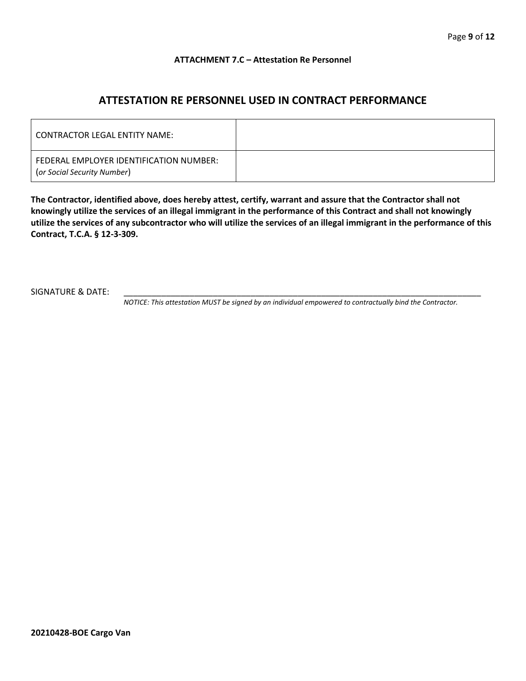#### **ATTACHMENT 7.C – Attestation Re Personnel**

## **ATTESTATION RE PERSONNEL USED IN CONTRACT PERFORMANCE**

| CONTRACTOR LEGAL ENTITY NAME:                                          |  |
|------------------------------------------------------------------------|--|
| FEDERAL EMPLOYER IDENTIFICATION NUMBER:<br>(or Social Security Number) |  |

**The Contractor, identified above, does hereby attest, certify, warrant and assure that the Contractor shall not knowingly utilize the services of an illegal immigrant in the performance of this Contract and shall not knowingly utilize the services of any subcontractor who will utilize the services of an illegal immigrant in the performance of this Contract, T.C.A. § 12-3-309.**

SIGNATURE & DATE:

*NOTICE: This attestation MUST be signed by an individual empowered to contractually bind the Contractor.*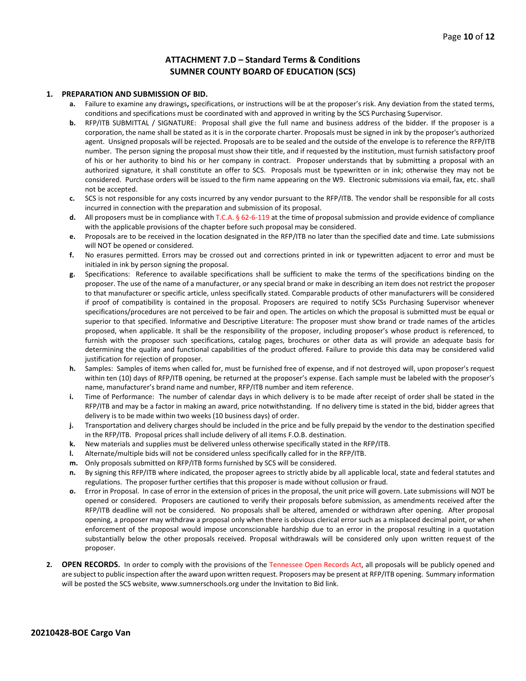#### **ATTACHMENT 7.D – Standard Terms & Conditions SUMNER COUNTY BOARD OF EDUCATION (SCS)**

#### **1. PREPARATION AND SUBMISSION OF BID.**

- **a.** Failure to examine any drawings**,** specifications, or instructions will be at the proposer's risk. Any deviation from the stated terms, conditions and specifications must be coordinated with and approved in writing by the SCS Purchasing Supervisor.
- **b.** RFP/ITB SUBMITTAL / SIGNATURE: Proposal shall give the full name and business address of the bidder. If the proposer is a corporation, the name shall be stated as it is in the corporate charter. Proposals must be signed in ink by the proposer's authorized agent. Unsigned proposals will be rejected. Proposals are to be sealed and the outside of the envelope is to reference the RFP/ITB number. The person signing the proposal must show their title, and if requested by the institution, must furnish satisfactory proof of his or her authority to bind his or her company in contract. Proposer understands that by submitting a proposal with an authorized signature, it shall constitute an offer to SCS. Proposals must be typewritten or in ink; otherwise they may not be considered. Purchase orders will be issued to the firm name appearing on the W9. Electronic submissions via email, fax, etc. shall not be accepted.
- **c.** SCS is not responsible for any costs incurred by any vendor pursuant to the RFP/ITB. The vendor shall be responsible for all costs incurred in connection with the preparation and submission of its proposal.
- **d.** All proposers must be in compliance with T.C.A. § 62-6-119 at the time of proposal submission and provide evidence of compliance with the applicable provisions of the chapter before such proposal may be considered.
- **e.** Proposals are to be received in the location designated in the RFP/ITB no later than the specified date and time. Late submissions will NOT be opened or considered.
- **f.** No erasures permitted. Errors may be crossed out and corrections printed in ink or typewritten adjacent to error and must be initialed in ink by person signing the proposal.
- **g.** Specifications: Reference to available specifications shall be sufficient to make the terms of the specifications binding on the proposer. The use of the name of a manufacturer, or any special brand or make in describing an item does not restrict the proposer to that manufacturer or specific article, unless specifically stated. Comparable products of other manufacturers will be considered if proof of compatibility is contained in the proposal. Proposers are required to notify SCSs Purchasing Supervisor whenever specifications/procedures are not perceived to be fair and open. The articles on which the proposal is submitted must be equal or superior to that specified. Informative and Descriptive Literature: The proposer must show brand or trade names of the articles proposed, when applicable. It shall be the responsibility of the proposer, including proposer's whose product is referenced, to furnish with the proposer such specifications, catalog pages, brochures or other data as will provide an adequate basis for determining the quality and functional capabilities of the product offered. Failure to provide this data may be considered valid justification for rejection of proposer.
- **h.** Samples: Samples of items when called for, must be furnished free of expense, and if not destroyed will, upon proposer's request within ten (10) days of RFP/ITB opening, be returned at the proposer's expense. Each sample must be labeled with the proposer's name, manufacturer's brand name and number, RFP/ITB number and item reference.
- **i.** Time of Performance: The number of calendar days in which delivery is to be made after receipt of order shall be stated in the RFP/ITB and may be a factor in making an award, price notwithstanding. If no delivery time is stated in the bid, bidder agrees that delivery is to be made within two weeks (10 business days) of order.
- **j.** Transportation and delivery charges should be included in the price and be fully prepaid by the vendor to the destination specified in the RFP/ITB. Proposal prices shall include delivery of all items F.O.B. destination.
- **k.** New materials and supplies must be delivered unless otherwise specifically stated in the RFP/ITB.
- **l.** Alternate/multiple bids will not be considered unless specifically called for in the RFP/ITB.
- **m.** Only proposals submitted on RFP/ITB forms furnished by SCS will be considered.
- **n.** By signing this RFP/ITB where indicated, the proposer agrees to strictly abide by all applicable local, state and federal statutes and regulations. The proposer further certifies that this proposer is made without collusion or fraud.
- **o.** Error in Proposal. In case of error in the extension of prices in the proposal, the unit price will govern. Late submissions will NOT be opened or considered. Proposers are cautioned to verify their proposals before submission, as amendments received after the RFP/ITB deadline will not be considered. No proposals shall be altered, amended or withdrawn after opening. After proposal opening, a proposer may withdraw a proposal only when there is obvious clerical error such as a misplaced decimal point, or when enforcement of the proposal would impose unconscionable hardship due to an error in the proposal resulting in a quotation substantially below the other proposals received. Proposal withdrawals will be considered only upon written request of the proposer.
- **2. OPEN RECORDS.** In order to comply with the provisions of the Tennessee Open Records Act, all proposals will be publicly opened and are subject to public inspection after the award upon written request. Proposers may be present at RFP/ITB opening. Summary information will be posted the SCS website, www.sumnerschools.org under the Invitation to Bid link.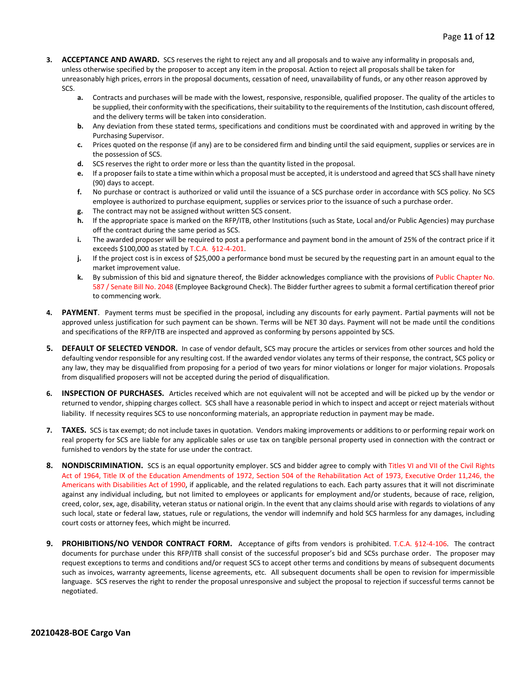- **3. ACCEPTANCE AND AWARD.** SCS reserves the right to reject any and all proposals and to waive any informality in proposals and, unless otherwise specified by the proposer to accept any item in the proposal. Action to reject all proposals shall be taken for unreasonably high prices, errors in the proposal documents, cessation of need, unavailability of funds, or any other reason approved by SCS.
	- **a.** Contracts and purchases will be made with the lowest, responsive, responsible, qualified proposer. The quality of the articles to be supplied, their conformity with the specifications, their suitability to the requirements of the Institution, cash discount offered, and the delivery terms will be taken into consideration.
	- **b.** Any deviation from these stated terms, specifications and conditions must be coordinated with and approved in writing by the Purchasing Supervisor.
	- **c.** Prices quoted on the response (if any) are to be considered firm and binding until the said equipment, supplies or services are in the possession of SCS.
	- **d.** SCS reserves the right to order more or less than the quantity listed in the proposal.
	- **e.** If a proposer fails to state a time within which a proposal must be accepted, it is understood and agreed that SCS shall have ninety (90) days to accept.
	- **f.** No purchase or contract is authorized or valid until the issuance of a SCS purchase order in accordance with SCS policy. No SCS employee is authorized to purchase equipment, supplies or services prior to the issuance of such a purchase order.
	- **g.** The contract may not be assigned without written SCS consent.
	- **h.** If the appropriate space is marked on the RFP/ITB, other Institutions (such as State, Local and/or Public Agencies) may purchase off the contract during the same period as SCS.
	- **i.** The awarded proposer will be required to post a performance and payment bond in the amount of 25% of the contract price if it exceeds \$100,000 as stated by T.C.A. §12-4-201.
	- **j.** If the project cost is in excess of \$25,000 a performance bond must be secured by the requesting part in an amount equal to the market improvement value.
	- **k.** By submission of this bid and signature thereof, the Bidder acknowledges compliance with the provisions of Public Chapter No. 587 / Senate Bill No. 2048 (Employee Background Check). The Bidder further agrees to submit a formal certification thereof prior to commencing work.
- **4. PAYMENT**. Payment terms must be specified in the proposal, including any discounts for early payment. Partial payments will not be approved unless justification for such payment can be shown. Terms will be NET 30 days. Payment will not be made until the conditions and specifications of the RFP/ITB are inspected and approved as conforming by persons appointed by SCS.
- **5. DEFAULT OF SELECTED VENDOR.** In case of vendor default, SCS may procure the articles or services from other sources and hold the defaulting vendor responsible for any resulting cost. If the awarded vendor violates any terms of their response, the contract, SCS policy or any law, they may be disqualified from proposing for a period of two years for minor violations or longer for major violations. Proposals from disqualified proposers will not be accepted during the period of disqualification.
- **6. INSPECTION OF PURCHASES.** Articles received which are not equivalent will not be accepted and will be picked up by the vendor or returned to vendor, shipping charges collect. SCS shall have a reasonable period in which to inspect and accept or reject materials without liability. If necessity requires SCS to use nonconforming materials, an appropriate reduction in payment may be made.
- **7. TAXES.** SCS is tax exempt; do not include taxes in quotation. Vendors making improvements or additions to or performing repair work on real property for SCS are liable for any applicable sales or use tax on tangible personal property used in connection with the contract or furnished to vendors by the state for use under the contract.
- **8. NONDISCRIMINATION.** SCS is an equal opportunity employer. SCS and bidder agree to comply with Titles VI and VII of the Civil Rights Act of 1964, Title IX of the Education Amendments of 1972, Section 504 of the Rehabilitation Act of 1973, Executive Order 11,246, the Americans with Disabilities Act of 1990, if applicable, and the related regulations to each. Each party assures that it will not discriminate against any individual including, but not limited to employees or applicants for employment and/or students, because of race, religion, creed, color, sex, age, disability, veteran status or national origin. In the event that any claims should arise with regards to violations of any such local, state or federal law, statues, rule or regulations, the vendor will indemnify and hold SCS harmless for any damages, including court costs or attorney fees, which might be incurred.
- **9. PROHIBITIONS/NO VENDOR CONTRACT FORM.** Acceptance of gifts from vendors is prohibited. T.C.A. §12-4-106. The contract documents for purchase under this RFP/ITB shall consist of the successful proposer's bid and SCSs purchase order. The proposer may request exceptions to terms and conditions and/or request SCS to accept other terms and conditions by means of subsequent documents such as invoices, warranty agreements, license agreements, etc. All subsequent documents shall be open to revision for impermissible language. SCS reserves the right to render the proposal unresponsive and subject the proposal to rejection if successful terms cannot be negotiated.